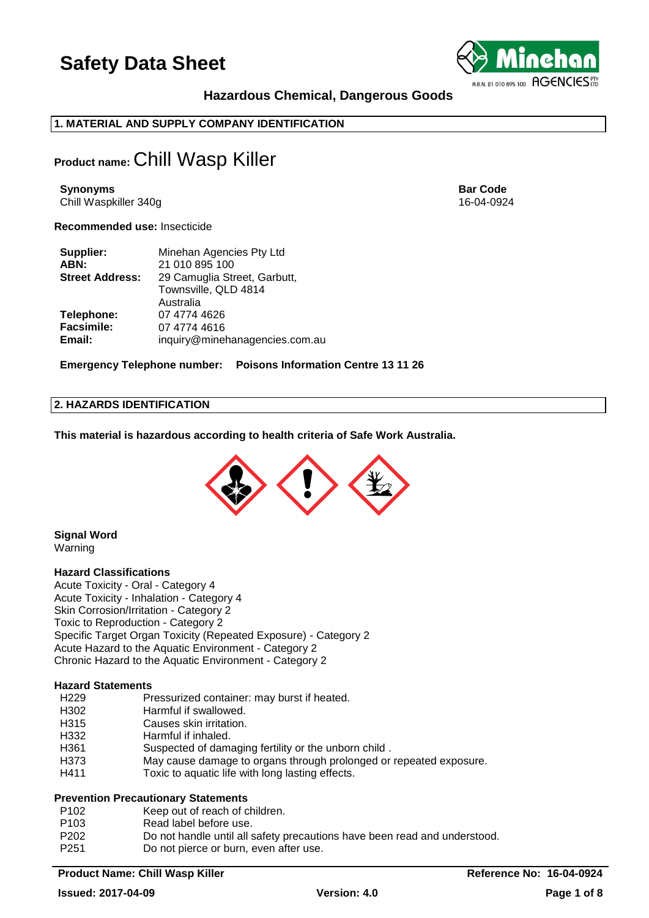

## **Hazardous Chemical, Dangerous Goods**

## **1. MATERIAL AND SUPPLY COMPANY IDENTIFICATION**

## **Product name:** Chill Wasp Killer

**Synonyms Bar Code** Chill Waspkiller 340g 16-04-0924

**Recommended use:** Insecticide

| Supplier:              | Minehan Agencies Pty Ltd       |
|------------------------|--------------------------------|
| ABN:                   | 21 010 895 100                 |
| <b>Street Address:</b> | 29 Camuglia Street, Garbutt,   |
|                        | Townsville, QLD 4814           |
|                        | Australia                      |
| Telephone:             | 07 4774 4626                   |
| <b>Facsimile:</b>      | 07 4774 4616                   |
| Email:                 | inquiry@minehanagencies.com.au |

**Emergency Telephone number: Poisons Information Centre 13 11 26**

## **2. HAZARDS IDENTIFICATION**

**This material is hazardous according to health criteria of Safe Work Australia.**



**Signal Word** Warning

## **Hazard Classifications**

Acute Toxicity - Oral - Category 4 Acute Toxicity - Inhalation - Category 4 Skin Corrosion/Irritation - Category 2 Toxic to Reproduction - Category 2 Specific Target Organ Toxicity (Repeated Exposure) - Category 2 Acute Hazard to the Aquatic Environment - Category 2 Chronic Hazard to the Aquatic Environment - Category 2

## **Hazard Statements**

- H302 Harmful if swallowed.
- H315 Causes skin irritation.
- H332 Harmful if inhaled.
- H361 Suspected of damaging fertility or the unborn child .
- H373 May cause damage to organs through prolonged or repeated exposure.
- H411 Toxic to aquatic life with long lasting effects.

## **Prevention Precautionary Statements**

- P102 Keep out of reach of children.
- P103 Read label before use.
- P202 Do not handle until all safety precautions have been read and understood.
- P251 Do not pierce or burn, even after use.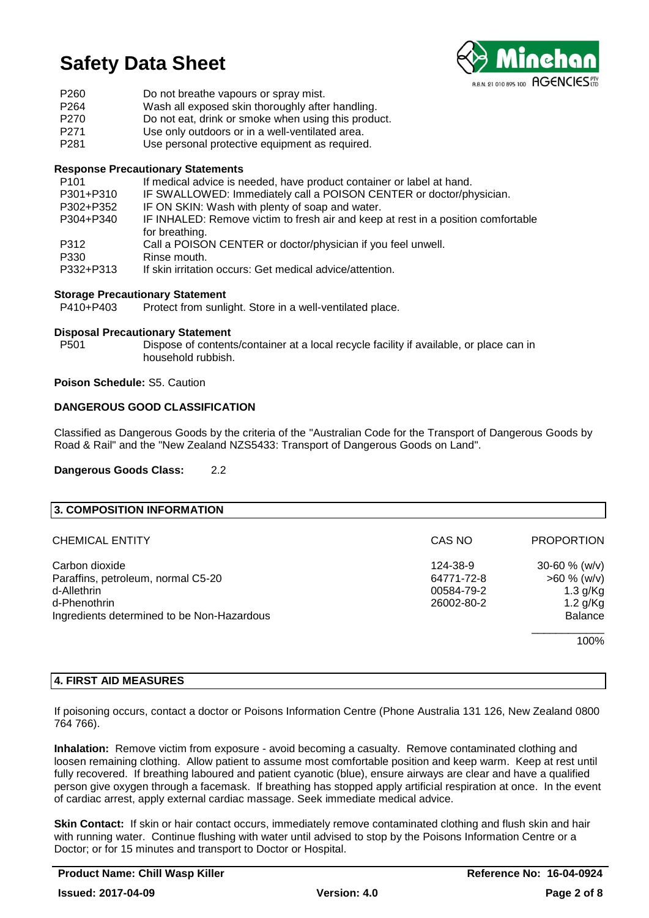

| P <sub>260</sub> | Do not breathe vapours or spray mist.               |
|------------------|-----------------------------------------------------|
| P <sub>264</sub> | Wash all exposed skin thoroughly after handling.    |
| P270             | Do not eat, drink or smoke when using this product. |
| P <sub>271</sub> | Use only outdoors or in a well-ventilated area.     |
| P <sub>281</sub> | Use personal protective equipment as required.      |

## **Response Precautionary Statements**

| P <sub>101</sub> | If medical advice is needed, have product container or label at hand.             |
|------------------|-----------------------------------------------------------------------------------|
| P301+P310        | IF SWALLOWED: Immediately call a POISON CENTER or doctor/physician.               |
| P302+P352        | IF ON SKIN: Wash with plenty of soap and water.                                   |
| P304+P340        | IF INHALED: Remove victim to fresh air and keep at rest in a position comfortable |
|                  | for breathing.                                                                    |
| P312             | Call a POISON CENTER or doctor/physician if you feel unwell.                      |
| P330             | Rinse mouth.                                                                      |
| P332+P313        | If skin irritation occurs: Get medical advice/attention.                          |

## **Storage Precautionary Statement**

P410+P403 Protect from sunlight. Store in a well-ventilated place.

## **Disposal Precautionary Statement**

P501 Dispose of contents/container at a local recycle facility if available, or place can in household rubbish.

## **Poison Schedule:** S5. Caution

## **DANGEROUS GOOD CLASSIFICATION**

Classified as Dangerous Goods by the criteria of the "Australian Code for the Transport of Dangerous Goods by Road & Rail" and the "New Zealand NZS5433: Transport of Dangerous Goods on Land".

## **Dangerous Goods Class:** 2.2

| 3. COMPOSITION INFORMATION                 |            |                   |
|--------------------------------------------|------------|-------------------|
| <b>CHEMICAL ENTITY</b>                     | CAS NO     | <b>PROPORTION</b> |
| Carbon dioxide                             | 124-38-9   | 30-60 $% (w/v)$   |
| Paraffins, petroleum, normal C5-20         | 64771-72-8 | $>60 \%$ (w/v)    |
| d-Allethrin                                | 00584-79-2 | $1.3$ g/Kg        |
| d-Phenothrin                               | 26002-80-2 | $1.2$ g/Kg        |
| Ingredients determined to be Non-Hazardous |            | <b>Balance</b>    |
|                                            |            | 100%              |

## **4. FIRST AID MEASURES**

If poisoning occurs, contact a doctor or Poisons Information Centre (Phone Australia 131 126, New Zealand 0800 764 766).

**Inhalation:** Remove victim from exposure - avoid becoming a casualty. Remove contaminated clothing and loosen remaining clothing. Allow patient to assume most comfortable position and keep warm. Keep at rest until fully recovered. If breathing laboured and patient cyanotic (blue), ensure airways are clear and have a qualified person give oxygen through a facemask. If breathing has stopped apply artificial respiration at once. In the event of cardiac arrest, apply external cardiac massage. Seek immediate medical advice.

**Skin Contact:** If skin or hair contact occurs, immediately remove contaminated clothing and flush skin and hair with running water. Continue flushing with water until advised to stop by the Poisons Information Centre or a Doctor; or for 15 minutes and transport to Doctor or Hospital.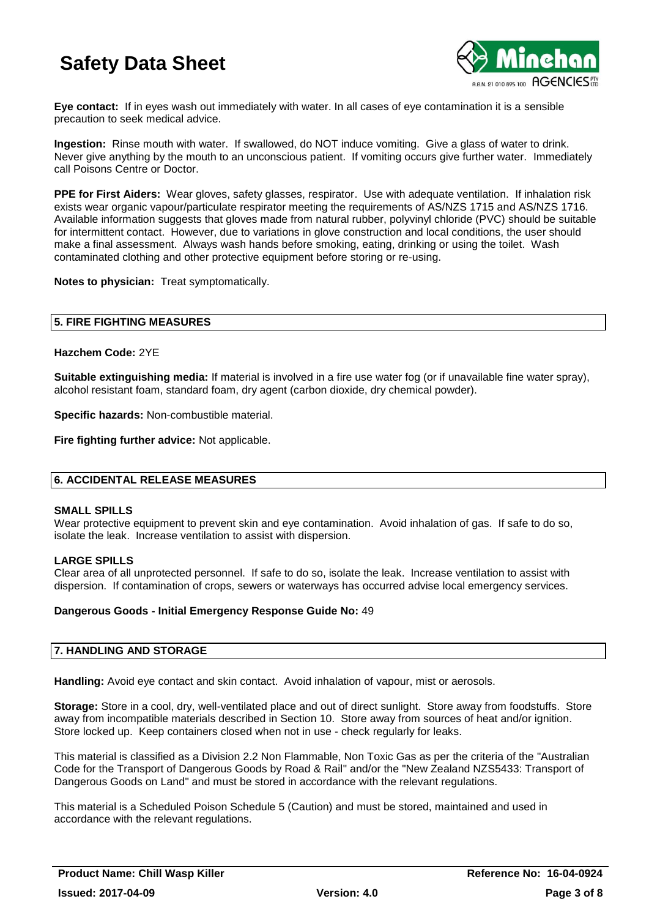

**Eye contact:** If in eyes wash out immediately with water. In all cases of eye contamination it is a sensible precaution to seek medical advice.

**Ingestion:** Rinse mouth with water. If swallowed, do NOT induce vomiting. Give a glass of water to drink. Never give anything by the mouth to an unconscious patient. If vomiting occurs give further water. Immediately call Poisons Centre or Doctor.

**PPE for First Aiders:** Wear gloves, safety glasses, respirator. Use with adequate ventilation. If inhalation risk exists wear organic vapour/particulate respirator meeting the requirements of AS/NZS 1715 and AS/NZS 1716. Available information suggests that gloves made from natural rubber, polyvinyl chloride (PVC) should be suitable for intermittent contact. However, due to variations in glove construction and local conditions, the user should make a final assessment. Always wash hands before smoking, eating, drinking or using the toilet. Wash contaminated clothing and other protective equipment before storing or re-using.

**Notes to physician:** Treat symptomatically.

## **5. FIRE FIGHTING MEASURES**

## **Hazchem Code:** 2YE

**Suitable extinguishing media:** If material is involved in a fire use water fog (or if unavailable fine water spray), alcohol resistant foam, standard foam, dry agent (carbon dioxide, dry chemical powder).

**Specific hazards:** Non-combustible material.

**Fire fighting further advice:** Not applicable.

## **6. ACCIDENTAL RELEASE MEASURES**

## **SMALL SPILLS**

Wear protective equipment to prevent skin and eye contamination. Avoid inhalation of gas. If safe to do so, isolate the leak. Increase ventilation to assist with dispersion.

## **LARGE SPILLS**

Clear area of all unprotected personnel. If safe to do so, isolate the leak. Increase ventilation to assist with dispersion. If contamination of crops, sewers or waterways has occurred advise local emergency services.

## **Dangerous Goods - Initial Emergency Response Guide No:** 49

## **7. HANDLING AND STORAGE**

**Handling:** Avoid eye contact and skin contact. Avoid inhalation of vapour, mist or aerosols.

**Storage:** Store in a cool, dry, well-ventilated place and out of direct sunlight. Store away from foodstuffs. Store away from incompatible materials described in Section 10. Store away from sources of heat and/or ignition. Store locked up. Keep containers closed when not in use - check regularly for leaks.

This material is classified as a Division 2.2 Non Flammable, Non Toxic Gas as per the criteria of the "Australian Code for the Transport of Dangerous Goods by Road & Rail" and/or the "New Zealand NZS5433: Transport of Dangerous Goods on Land" and must be stored in accordance with the relevant regulations.

This material is a Scheduled Poison Schedule 5 (Caution) and must be stored, maintained and used in accordance with the relevant regulations.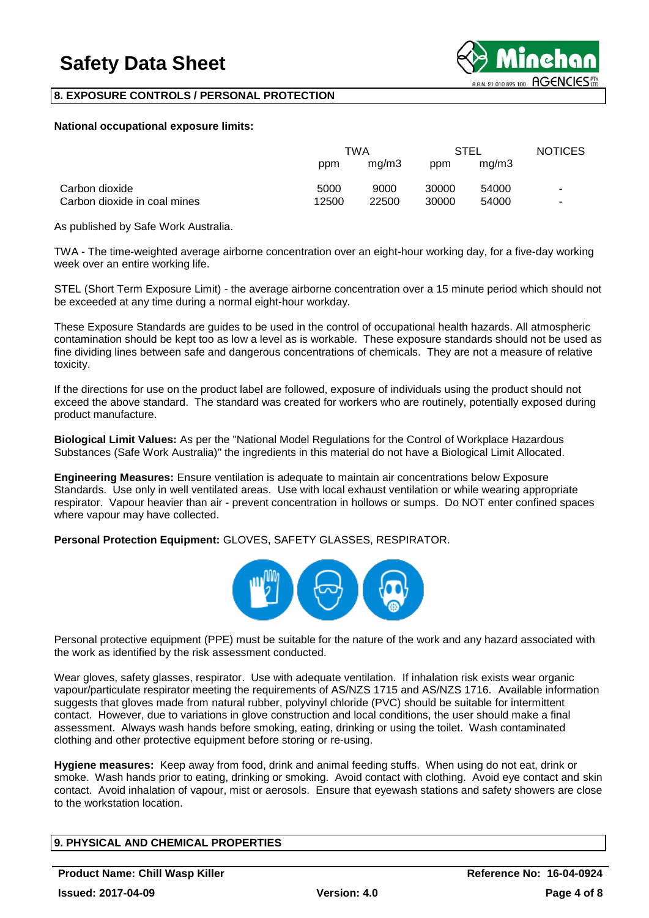

## **8. EXPOSURE CONTROLS / PERSONAL PROTECTION**

## **National occupational exposure limits:**

|                              | TWA   |       | <b>STEL</b> |       | <b>NOTICES</b> |
|------------------------------|-------|-------|-------------|-------|----------------|
|                              | ppm   | mq/m3 | ppm         | ma/m3 |                |
| Carbon dioxide               | 5000  | 9000  | 30000       | 54000 | $\blacksquare$ |
| Carbon dioxide in coal mines | 12500 | 22500 | 30000       | 54000 | ٠              |

As published by Safe Work Australia.

TWA - The time-weighted average airborne concentration over an eight-hour working day, for a five-day working week over an entire working life.

STEL (Short Term Exposure Limit) - the average airborne concentration over a 15 minute period which should not be exceeded at any time during a normal eight-hour workday.

These Exposure Standards are guides to be used in the control of occupational health hazards. All atmospheric contamination should be kept too as low a level as is workable. These exposure standards should not be used as fine dividing lines between safe and dangerous concentrations of chemicals. They are not a measure of relative toxicity.

If the directions for use on the product label are followed, exposure of individuals using the product should not exceed the above standard. The standard was created for workers who are routinely, potentially exposed during product manufacture.

**Biological Limit Values:** As per the "National Model Regulations for the Control of Workplace Hazardous Substances (Safe Work Australia)" the ingredients in this material do not have a Biological Limit Allocated.

**Engineering Measures:** Ensure ventilation is adequate to maintain air concentrations below Exposure Standards. Use only in well ventilated areas. Use with local exhaust ventilation or while wearing appropriate respirator. Vapour heavier than air - prevent concentration in hollows or sumps. Do NOT enter confined spaces where vapour may have collected.

**Personal Protection Equipment:** GLOVES, SAFETY GLASSES, RESPIRATOR.



Personal protective equipment (PPE) must be suitable for the nature of the work and any hazard associated with the work as identified by the risk assessment conducted.

Wear gloves, safety glasses, respirator. Use with adequate ventilation. If inhalation risk exists wear organic vapour/particulate respirator meeting the requirements of AS/NZS 1715 and AS/NZS 1716. Available information suggests that gloves made from natural rubber, polyvinyl chloride (PVC) should be suitable for intermittent contact. However, due to variations in glove construction and local conditions, the user should make a final assessment. Always wash hands before smoking, eating, drinking or using the toilet. Wash contaminated clothing and other protective equipment before storing or re-using.

**Hygiene measures:** Keep away from food, drink and animal feeding stuffs. When using do not eat, drink or smoke. Wash hands prior to eating, drinking or smoking. Avoid contact with clothing. Avoid eye contact and skin contact. Avoid inhalation of vapour, mist or aerosols. Ensure that eyewash stations and safety showers are close to the workstation location.

## **9. PHYSICAL AND CHEMICAL PROPERTIES**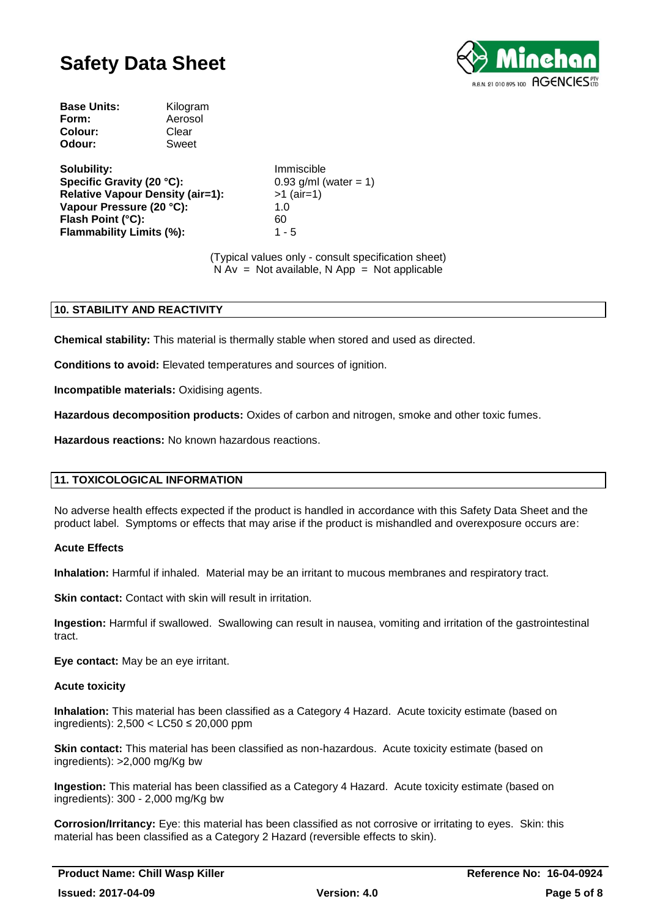

| Kilogram |
|----------|
| Aerosol  |
| Clear    |
| Sweet    |
|          |

**Solubility:** Immiscible **Specific Gravity (20 °C):** 0.93 g/ml (water = 1) **Relative Vapour Density (air=1):** >1 (air=1) **Vapour Pressure (20 °C):** 1.0 **Flash Point (°C):** 60 **Flammability Limits (%):** 1 - 5

(Typical values only - consult specification sheet)  $N Av = Not available, N App = Not applicable$ 

## **10. STABILITY AND REACTIVITY**

**Chemical stability:** This material is thermally stable when stored and used as directed.

**Conditions to avoid:** Elevated temperatures and sources of ignition.

**Incompatible materials:** Oxidising agents.

**Hazardous decomposition products:** Oxides of carbon and nitrogen, smoke and other toxic fumes.

**Hazardous reactions:** No known hazardous reactions.

## **11. TOXICOLOGICAL INFORMATION**

No adverse health effects expected if the product is handled in accordance with this Safety Data Sheet and the product label. Symptoms or effects that may arise if the product is mishandled and overexposure occurs are:

## **Acute Effects**

**Inhalation:** Harmful if inhaled. Material may be an irritant to mucous membranes and respiratory tract.

**Skin contact:** Contact with skin will result in irritation.

**Ingestion:** Harmful if swallowed. Swallowing can result in nausea, vomiting and irritation of the gastrointestinal tract.

**Eye contact:** May be an eye irritant.

## **Acute toxicity**

**Inhalation:** This material has been classified as a Category 4 Hazard. Acute toxicity estimate (based on ingredients): 2,500 < LC50 ≤ 20,000 ppm

**Skin contact:** This material has been classified as non-hazardous. Acute toxicity estimate (based on ingredients): >2,000 mg/Kg bw

**Ingestion:** This material has been classified as a Category 4 Hazard. Acute toxicity estimate (based on ingredients): 300 - 2,000 mg/Kg bw

**Corrosion/Irritancy:** Eye: this material has been classified as not corrosive or irritating to eyes. Skin: this material has been classified as a Category 2 Hazard (reversible effects to skin).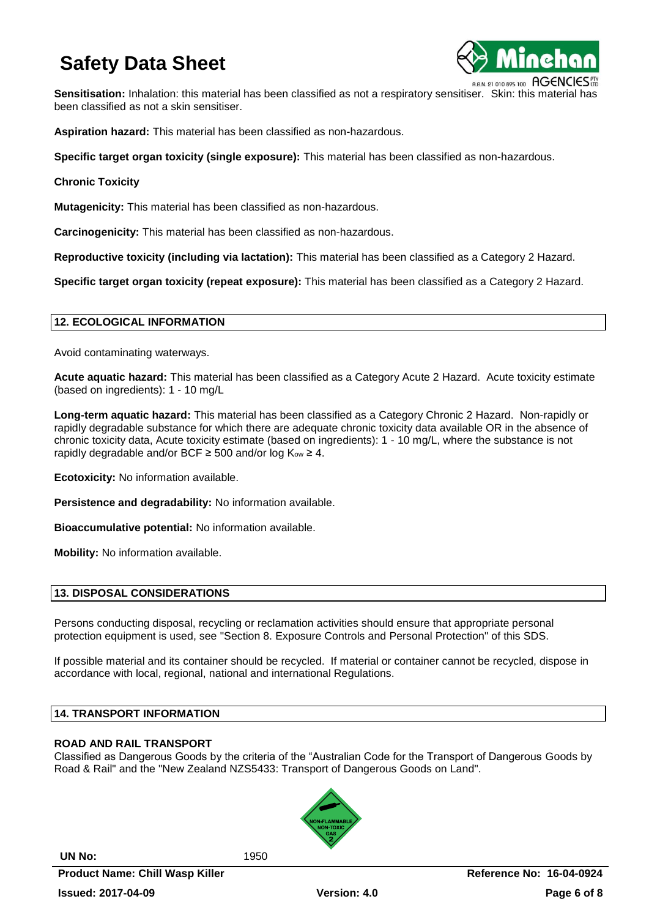

**Sensitisation:** Inhalation: this material has been classified as not a respiratory sensitiser. Skin: this material has been classified as not a skin sensitiser.

**Aspiration hazard:** This material has been classified as non-hazardous.

**Specific target organ toxicity (single exposure):** This material has been classified as non-hazardous.

**Chronic Toxicity**

**Mutagenicity:** This material has been classified as non-hazardous.

**Carcinogenicity:** This material has been classified as non-hazardous.

**Reproductive toxicity (including via lactation):** This material has been classified as a Category 2 Hazard.

**Specific target organ toxicity (repeat exposure):** This material has been classified as a Category 2 Hazard.

## **12. ECOLOGICAL INFORMATION**

Avoid contaminating waterways.

**Acute aquatic hazard:** This material has been classified as a Category Acute 2 Hazard. Acute toxicity estimate (based on ingredients): 1 - 10 mg/L

**Long-term aquatic hazard:** This material has been classified as a Category Chronic 2 Hazard. Non-rapidly or rapidly degradable substance for which there are adequate chronic toxicity data available OR in the absence of chronic toxicity data, Acute toxicity estimate (based on ingredients): 1 - 10 mg/L, where the substance is not rapidly degradable and/or BCF  $\geq$  500 and/or log K<sub>ow</sub>  $\geq$  4.

**Ecotoxicity:** No information available.

**Persistence and degradability:** No information available.

**Bioaccumulative potential:** No information available.

**Mobility:** No information available.

## **13. DISPOSAL CONSIDERATIONS**

Persons conducting disposal, recycling or reclamation activities should ensure that appropriate personal protection equipment is used, see "Section 8. Exposure Controls and Personal Protection" of this SDS.

If possible material and its container should be recycled. If material or container cannot be recycled, dispose in accordance with local, regional, national and international Regulations.

## **14. TRANSPORT INFORMATION**

## **ROAD AND RAIL TRANSPORT**

Classified as Dangerous Goods by the criteria of the "Australian Code for the Transport of Dangerous Goods by Road & Rail" and the "New Zealand NZS5433: Transport of Dangerous Goods on Land".

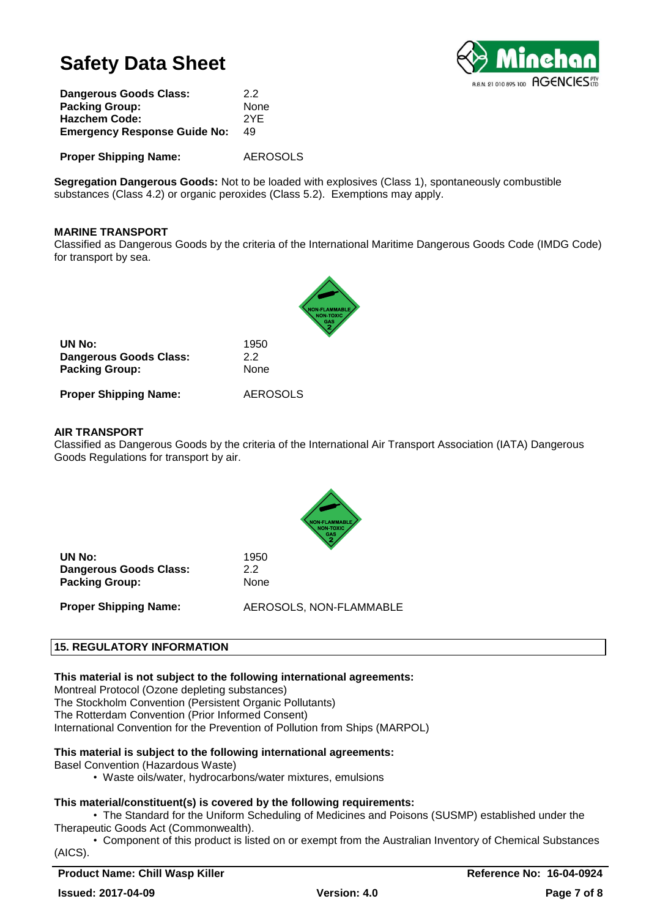

| 22   |
|------|
| None |
| 2YF  |
| 49   |
|      |

**Proper Shipping Name:** AEROSOLS

**Segregation Dangerous Goods:** Not to be loaded with explosives (Class 1), spontaneously combustible substances (Class 4.2) or organic peroxides (Class 5.2). Exemptions may apply.

## **MARINE TRANSPORT**

Classified as Dangerous Goods by the criteria of the International Maritime Dangerous Goods Code (IMDG Code) for transport by sea.

| UN No:                        | 1950            |
|-------------------------------|-----------------|
| <b>Dangerous Goods Class:</b> | 22              |
| <b>Packing Group:</b>         | None            |
| <b>Proper Shipping Name:</b>  | <b>AEROSOLS</b> |

## **AIR TRANSPORT**

Classified as Dangerous Goods by the criteria of the International Air Transport Association (IATA) Dangerous Goods Regulations for transport by air.



**UN No:** 1950 **Dangerous Goods Class:** 2.2 Packing Group: None

**Proper Shipping Name:** AEROSOLS, NON-FLAMMABLE

## **15. REGULATORY INFORMATION**

**This material is not subject to the following international agreements:**

Montreal Protocol (Ozone depleting substances) The Stockholm Convention (Persistent Organic Pollutants) The Rotterdam Convention (Prior Informed Consent) International Convention for the Prevention of Pollution from Ships (MARPOL)

## **This material is subject to the following international agreements:**

- Basel Convention (Hazardous Waste)
	- Waste oils/water, hydrocarbons/water mixtures, emulsions

## **This material/constituent(s) is covered by the following requirements:**

• The Standard for the Uniform Scheduling of Medicines and Poisons (SUSMP) established under the Therapeutic Goods Act (Commonwealth).

• Component of this product is listed on or exempt from the Australian Inventory of Chemical Substances (AICS).